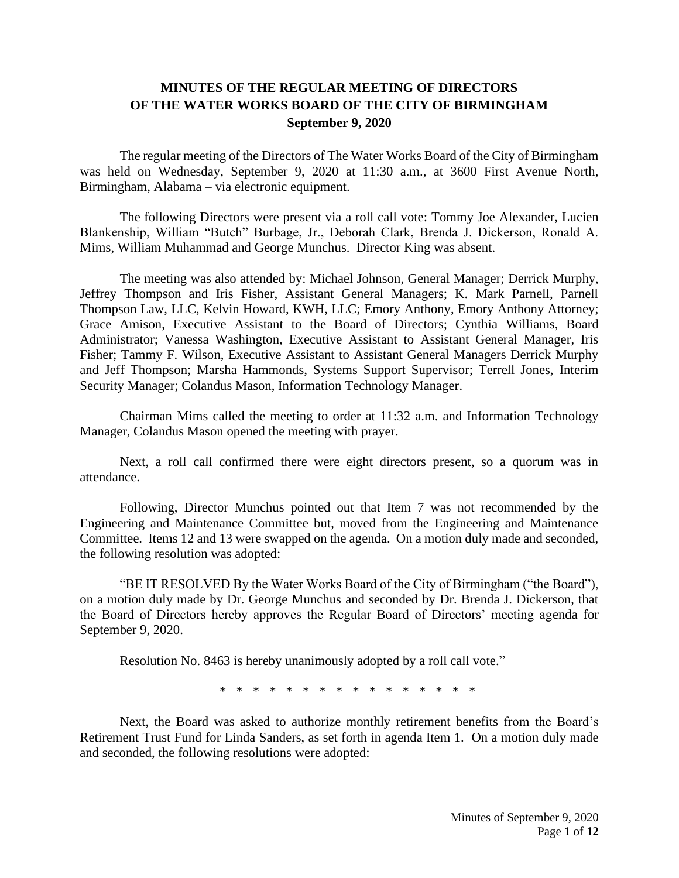## **MINUTES OF THE REGULAR MEETING OF DIRECTORS OF THE WATER WORKS BOARD OF THE CITY OF BIRMINGHAM September 9, 2020**

The regular meeting of the Directors of The Water Works Board of the City of Birmingham was held on Wednesday, September 9, 2020 at 11:30 a.m., at 3600 First Avenue North, Birmingham, Alabama – via electronic equipment.

The following Directors were present via a roll call vote: Tommy Joe Alexander, Lucien Blankenship, William "Butch" Burbage, Jr., Deborah Clark, Brenda J. Dickerson, Ronald A. Mims, William Muhammad and George Munchus. Director King was absent.

The meeting was also attended by: Michael Johnson, General Manager; Derrick Murphy, Jeffrey Thompson and Iris Fisher, Assistant General Managers; K. Mark Parnell, Parnell Thompson Law, LLC, Kelvin Howard, KWH, LLC; Emory Anthony, Emory Anthony Attorney; Grace Amison, Executive Assistant to the Board of Directors; Cynthia Williams, Board Administrator; Vanessa Washington, Executive Assistant to Assistant General Manager, Iris Fisher; Tammy F. Wilson, Executive Assistant to Assistant General Managers Derrick Murphy and Jeff Thompson; Marsha Hammonds, Systems Support Supervisor; Terrell Jones, Interim Security Manager; Colandus Mason, Information Technology Manager.

Chairman Mims called the meeting to order at 11:32 a.m. and Information Technology Manager, Colandus Mason opened the meeting with prayer.

Next, a roll call confirmed there were eight directors present, so a quorum was in attendance.

Following, Director Munchus pointed out that Item 7 was not recommended by the Engineering and Maintenance Committee but, moved from the Engineering and Maintenance Committee. Items 12 and 13 were swapped on the agenda. On a motion duly made and seconded, the following resolution was adopted:

"BE IT RESOLVED By the Water Works Board of the City of Birmingham ("the Board"), on a motion duly made by Dr. George Munchus and seconded by Dr. Brenda J. Dickerson, that the Board of Directors hereby approves the Regular Board of Directors' meeting agenda for September 9, 2020.

Resolution No. 8463 is hereby unanimously adopted by a roll call vote."

\* \* \* \* \* \* \* \* \* \* \* \* \* \* \* \*

Next, the Board was asked to authorize monthly retirement benefits from the Board's Retirement Trust Fund for Linda Sanders, as set forth in agenda Item 1. On a motion duly made and seconded, the following resolutions were adopted: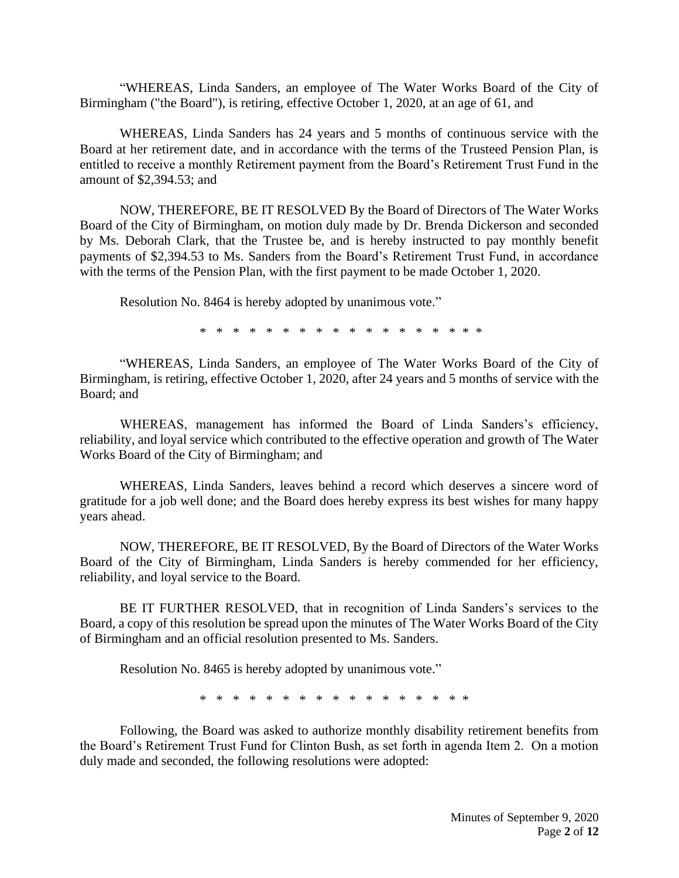"WHEREAS, Linda Sanders, an employee of The Water Works Board of the City of Birmingham ("the Board"), is retiring, effective October 1, 2020, at an age of 61, and

WHEREAS, Linda Sanders has 24 years and 5 months of continuous service with the Board at her retirement date, and in accordance with the terms of the Trusteed Pension Plan, is entitled to receive a monthly Retirement payment from the Board's Retirement Trust Fund in the amount of \$2,394.53; and

NOW, THEREFORE, BE IT RESOLVED By the Board of Directors of The Water Works Board of the City of Birmingham, on motion duly made by Dr. Brenda Dickerson and seconded by Ms. Deborah Clark, that the Trustee be, and is hereby instructed to pay monthly benefit payments of \$2,394.53 to Ms. Sanders from the Board's Retirement Trust Fund, in accordance with the terms of the Pension Plan, with the first payment to be made October 1, 2020.

Resolution No. 8464 is hereby adopted by unanimous vote."

\* \* \* \* \* \* \* \* \* \* \* \* \* \* \* \* \* \*

"WHEREAS, Linda Sanders, an employee of The Water Works Board of the City of Birmingham, is retiring, effective October 1, 2020, after 24 years and 5 months of service with the Board; and

WHEREAS, management has informed the Board of Linda Sanders's efficiency, reliability, and loyal service which contributed to the effective operation and growth of The Water Works Board of the City of Birmingham; and

WHEREAS, Linda Sanders, leaves behind a record which deserves a sincere word of gratitude for a job well done; and the Board does hereby express its best wishes for many happy years ahead.

NOW, THEREFORE, BE IT RESOLVED, By the Board of Directors of the Water Works Board of the City of Birmingham, Linda Sanders is hereby commended for her efficiency, reliability, and loyal service to the Board.

BE IT FURTHER RESOLVED, that in recognition of Linda Sanders's services to the Board, a copy of this resolution be spread upon the minutes of The Water Works Board of the City of Birmingham and an official resolution presented to Ms. Sanders.

Resolution No. 8465 is hereby adopted by unanimous vote."

\* \* \* \* \* \* \* \* \* \* \* \* \* \* \* \* \*

Following, the Board was asked to authorize monthly disability retirement benefits from the Board's Retirement Trust Fund for Clinton Bush, as set forth in agenda Item 2. On a motion duly made and seconded, the following resolutions were adopted: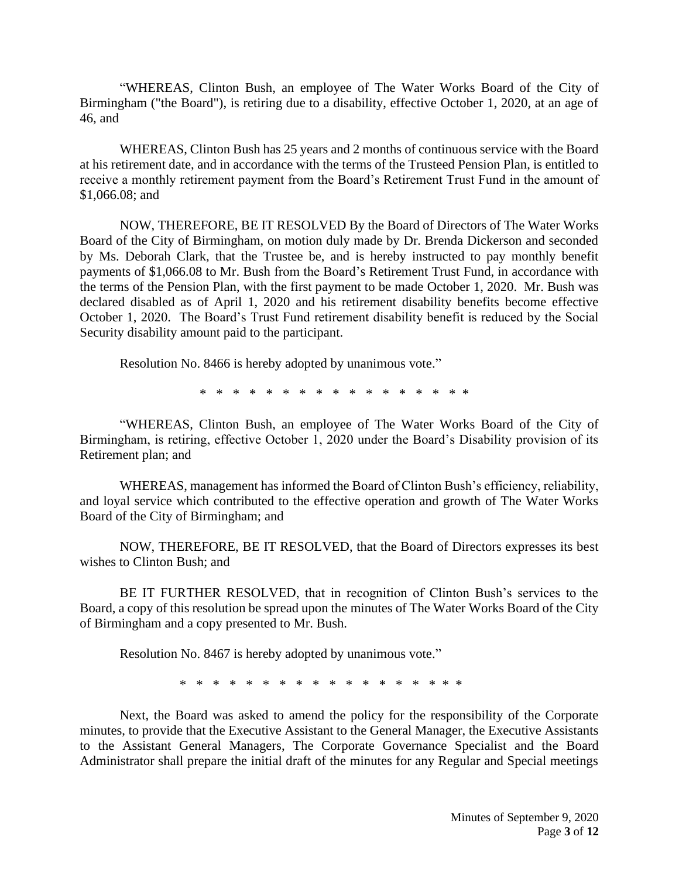"WHEREAS, Clinton Bush, an employee of The Water Works Board of the City of Birmingham ("the Board"), is retiring due to a disability, effective October 1, 2020, at an age of 46, and

WHEREAS, Clinton Bush has 25 years and 2 months of continuous service with the Board at his retirement date, and in accordance with the terms of the Trusteed Pension Plan, is entitled to receive a monthly retirement payment from the Board's Retirement Trust Fund in the amount of \$1,066.08; and

NOW, THEREFORE, BE IT RESOLVED By the Board of Directors of The Water Works Board of the City of Birmingham, on motion duly made by Dr. Brenda Dickerson and seconded by Ms. Deborah Clark, that the Trustee be, and is hereby instructed to pay monthly benefit payments of \$1,066.08 to Mr. Bush from the Board's Retirement Trust Fund, in accordance with the terms of the Pension Plan, with the first payment to be made October 1, 2020. Mr. Bush was declared disabled as of April 1, 2020 and his retirement disability benefits become effective October 1, 2020. The Board's Trust Fund retirement disability benefit is reduced by the Social Security disability amount paid to the participant.

Resolution No. 8466 is hereby adopted by unanimous vote."

\* \* \* \* \* \* \* \* \* \* \* \* \* \* \* \* \*

"WHEREAS, Clinton Bush, an employee of The Water Works Board of the City of Birmingham, is retiring, effective October 1, 2020 under the Board's Disability provision of its Retirement plan; and

WHEREAS, management has informed the Board of Clinton Bush's efficiency, reliability, and loyal service which contributed to the effective operation and growth of The Water Works Board of the City of Birmingham; and

NOW, THEREFORE, BE IT RESOLVED, that the Board of Directors expresses its best wishes to Clinton Bush; and

BE IT FURTHER RESOLVED, that in recognition of Clinton Bush's services to the Board, a copy of this resolution be spread upon the minutes of The Water Works Board of the City of Birmingham and a copy presented to Mr. Bush.

Resolution No. 8467 is hereby adopted by unanimous vote."

\* \* \* \* \* \* \* \* \* \* \* \* \* \* \* \* \* \*

Next, the Board was asked to amend the policy for the responsibility of the Corporate minutes, to provide that the Executive Assistant to the General Manager, the Executive Assistants to the Assistant General Managers, The Corporate Governance Specialist and the Board Administrator shall prepare the initial draft of the minutes for any Regular and Special meetings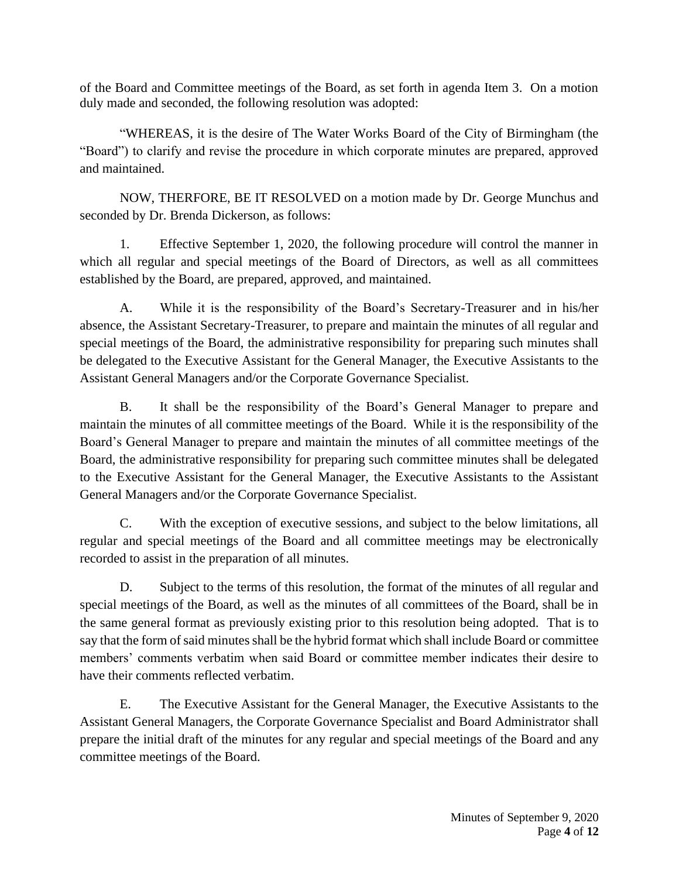of the Board and Committee meetings of the Board, as set forth in agenda Item 3. On a motion duly made and seconded, the following resolution was adopted:

"WHEREAS, it is the desire of The Water Works Board of the City of Birmingham (the "Board") to clarify and revise the procedure in which corporate minutes are prepared, approved and maintained.

NOW, THERFORE, BE IT RESOLVED on a motion made by Dr. George Munchus and seconded by Dr. Brenda Dickerson, as follows:

1. Effective September 1, 2020, the following procedure will control the manner in which all regular and special meetings of the Board of Directors, as well as all committees established by the Board, are prepared, approved, and maintained.

A. While it is the responsibility of the Board's Secretary-Treasurer and in his/her absence, the Assistant Secretary-Treasurer, to prepare and maintain the minutes of all regular and special meetings of the Board, the administrative responsibility for preparing such minutes shall be delegated to the Executive Assistant for the General Manager, the Executive Assistants to the Assistant General Managers and/or the Corporate Governance Specialist.

B. It shall be the responsibility of the Board's General Manager to prepare and maintain the minutes of all committee meetings of the Board. While it is the responsibility of the Board's General Manager to prepare and maintain the minutes of all committee meetings of the Board, the administrative responsibility for preparing such committee minutes shall be delegated to the Executive Assistant for the General Manager, the Executive Assistants to the Assistant General Managers and/or the Corporate Governance Specialist.

C. With the exception of executive sessions, and subject to the below limitations, all regular and special meetings of the Board and all committee meetings may be electronically recorded to assist in the preparation of all minutes.

D. Subject to the terms of this resolution, the format of the minutes of all regular and special meetings of the Board, as well as the minutes of all committees of the Board, shall be in the same general format as previously existing prior to this resolution being adopted. That is to say that the form of said minutes shall be the hybrid format which shall include Board or committee members' comments verbatim when said Board or committee member indicates their desire to have their comments reflected verbatim.

E. The Executive Assistant for the General Manager, the Executive Assistants to the Assistant General Managers, the Corporate Governance Specialist and Board Administrator shall prepare the initial draft of the minutes for any regular and special meetings of the Board and any committee meetings of the Board.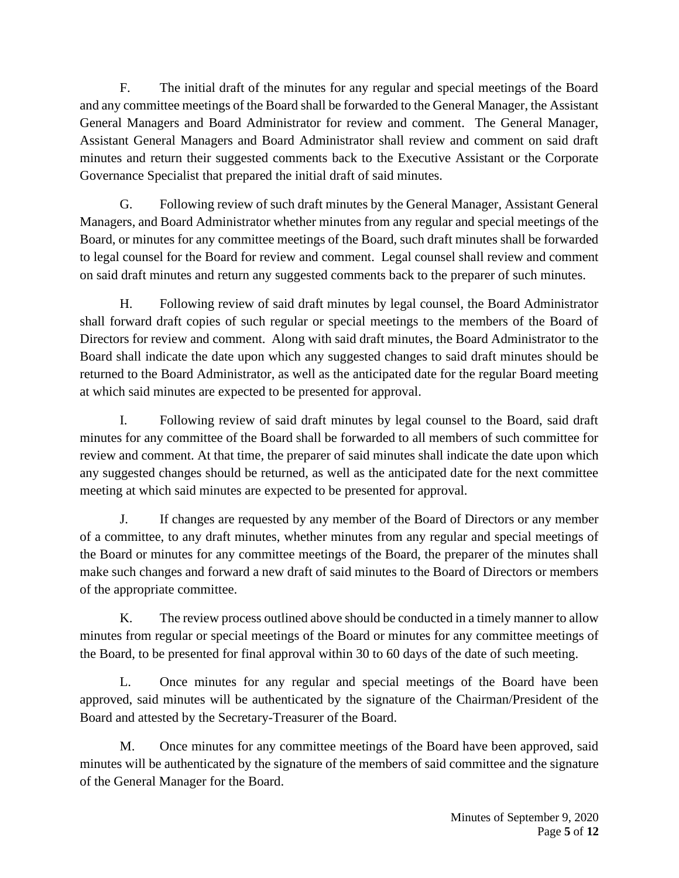F. The initial draft of the minutes for any regular and special meetings of the Board and any committee meetings of the Board shall be forwarded to the General Manager, the Assistant General Managers and Board Administrator for review and comment. The General Manager, Assistant General Managers and Board Administrator shall review and comment on said draft minutes and return their suggested comments back to the Executive Assistant or the Corporate Governance Specialist that prepared the initial draft of said minutes.

G. Following review of such draft minutes by the General Manager, Assistant General Managers, and Board Administrator whether minutes from any regular and special meetings of the Board, or minutes for any committee meetings of the Board, such draft minutes shall be forwarded to legal counsel for the Board for review and comment. Legal counsel shall review and comment on said draft minutes and return any suggested comments back to the preparer of such minutes.

H. Following review of said draft minutes by legal counsel, the Board Administrator shall forward draft copies of such regular or special meetings to the members of the Board of Directors for review and comment. Along with said draft minutes, the Board Administrator to the Board shall indicate the date upon which any suggested changes to said draft minutes should be returned to the Board Administrator, as well as the anticipated date for the regular Board meeting at which said minutes are expected to be presented for approval.

I. Following review of said draft minutes by legal counsel to the Board, said draft minutes for any committee of the Board shall be forwarded to all members of such committee for review and comment. At that time, the preparer of said minutes shall indicate the date upon which any suggested changes should be returned, as well as the anticipated date for the next committee meeting at which said minutes are expected to be presented for approval.

J. If changes are requested by any member of the Board of Directors or any member of a committee, to any draft minutes, whether minutes from any regular and special meetings of the Board or minutes for any committee meetings of the Board, the preparer of the minutes shall make such changes and forward a new draft of said minutes to the Board of Directors or members of the appropriate committee.

K. The review process outlined above should be conducted in a timely manner to allow minutes from regular or special meetings of the Board or minutes for any committee meetings of the Board, to be presented for final approval within 30 to 60 days of the date of such meeting.

L. Once minutes for any regular and special meetings of the Board have been approved, said minutes will be authenticated by the signature of the Chairman/President of the Board and attested by the Secretary-Treasurer of the Board.

M. Once minutes for any committee meetings of the Board have been approved, said minutes will be authenticated by the signature of the members of said committee and the signature of the General Manager for the Board.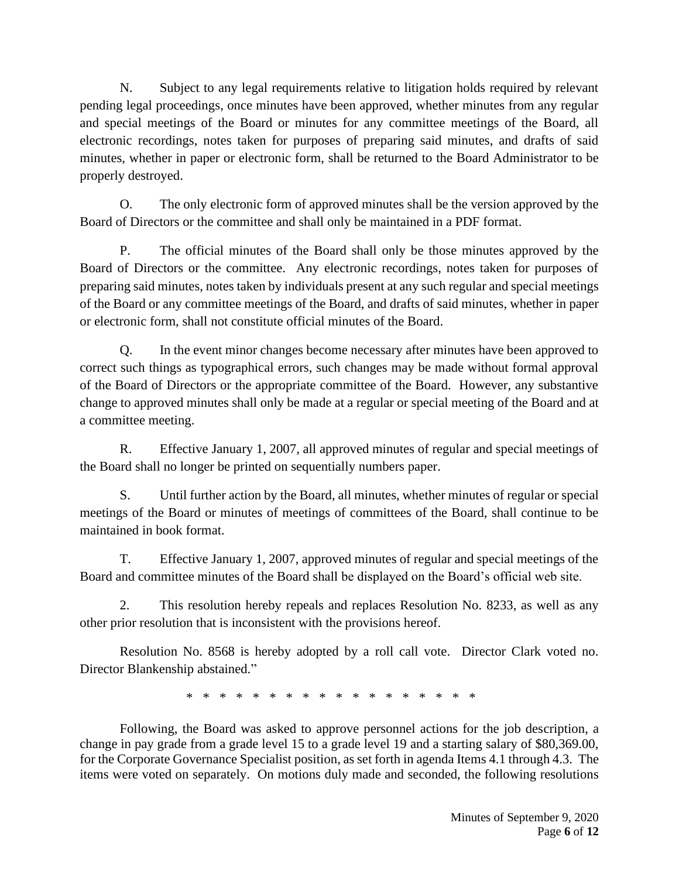N. Subject to any legal requirements relative to litigation holds required by relevant pending legal proceedings, once minutes have been approved, whether minutes from any regular and special meetings of the Board or minutes for any committee meetings of the Board, all electronic recordings, notes taken for purposes of preparing said minutes, and drafts of said minutes, whether in paper or electronic form, shall be returned to the Board Administrator to be properly destroyed.

O. The only electronic form of approved minutes shall be the version approved by the Board of Directors or the committee and shall only be maintained in a PDF format.

P. The official minutes of the Board shall only be those minutes approved by the Board of Directors or the committee. Any electronic recordings, notes taken for purposes of preparing said minutes, notes taken by individuals present at any such regular and special meetings of the Board or any committee meetings of the Board, and drafts of said minutes, whether in paper or electronic form, shall not constitute official minutes of the Board.

Q. In the event minor changes become necessary after minutes have been approved to correct such things as typographical errors, such changes may be made without formal approval of the Board of Directors or the appropriate committee of the Board. However, any substantive change to approved minutes shall only be made at a regular or special meeting of the Board and at a committee meeting.

R. Effective January 1, 2007, all approved minutes of regular and special meetings of the Board shall no longer be printed on sequentially numbers paper.

S. Until further action by the Board, all minutes, whether minutes of regular or special meetings of the Board or minutes of meetings of committees of the Board, shall continue to be maintained in book format.

T. Effective January 1, 2007, approved minutes of regular and special meetings of the Board and committee minutes of the Board shall be displayed on the Board's official web site.

2. This resolution hereby repeals and replaces Resolution No. 8233, as well as any other prior resolution that is inconsistent with the provisions hereof.

Resolution No. 8568 is hereby adopted by a roll call vote. Director Clark voted no. Director Blankenship abstained."

\* \* \* \* \* \* \* \* \* \* \* \* \* \* \* \* \* \*

Following, the Board was asked to approve personnel actions for the job description, a change in pay grade from a grade level 15 to a grade level 19 and a starting salary of \$80,369.00, for the Corporate Governance Specialist position, as set forth in agenda Items 4.1 through 4.3. The items were voted on separately. On motions duly made and seconded, the following resolutions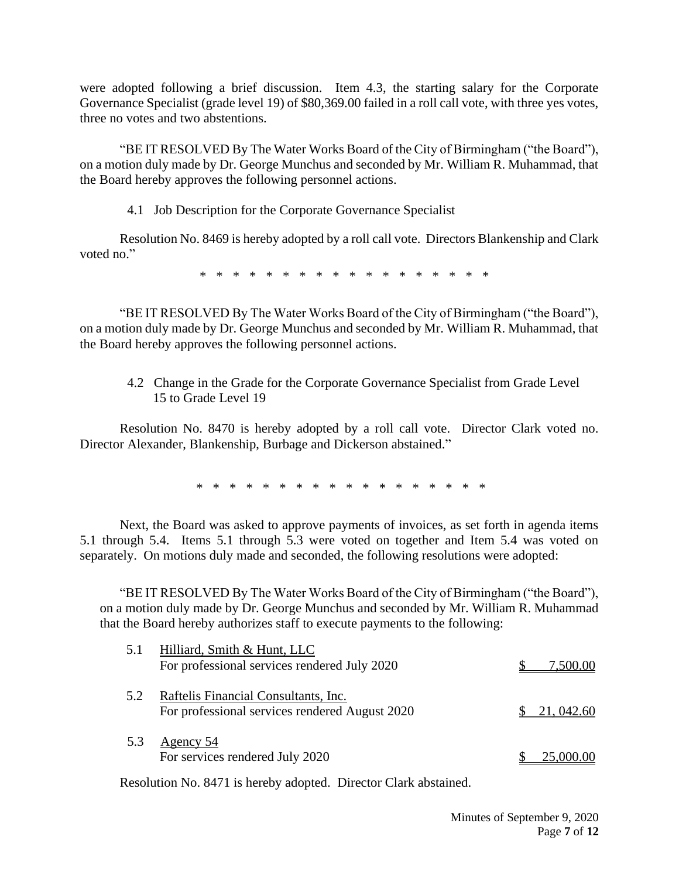were adopted following a brief discussion. Item 4.3, the starting salary for the Corporate Governance Specialist (grade level 19) of \$80,369.00 failed in a roll call vote, with three yes votes, three no votes and two abstentions.

"BE IT RESOLVED By The Water Works Board of the City of Birmingham ("the Board"), on a motion duly made by Dr. George Munchus and seconded by Mr. William R. Muhammad, that the Board hereby approves the following personnel actions.

4.1 Job Description for the Corporate Governance Specialist

Resolution No. 8469 is hereby adopted by a roll call vote. Directors Blankenship and Clark voted no."

\* \* \* \* \* \* \* \* \* \* \* \* \* \* \* \* \* \*

"BE IT RESOLVED By The Water Works Board of the City of Birmingham ("the Board"), on a motion duly made by Dr. George Munchus and seconded by Mr. William R. Muhammad, that the Board hereby approves the following personnel actions.

4.2 Change in the Grade for the Corporate Governance Specialist from Grade Level 15 to Grade Level 19

Resolution No. 8470 is hereby adopted by a roll call vote. Director Clark voted no. Director Alexander, Blankenship, Burbage and Dickerson abstained."

\* \* \* \* \* \* \* \* \* \* \* \* \* \* \* \* \* \*

Next, the Board was asked to approve payments of invoices, as set forth in agenda items 5.1 through 5.4. Items 5.1 through 5.3 were voted on together and Item 5.4 was voted on separately. On motions duly made and seconded, the following resolutions were adopted:

"BE IT RESOLVED By The Water Works Board of the City of Birmingham ("the Board"), on a motion duly made by Dr. George Munchus and seconded by Mr. William R. Muhammad that the Board hereby authorizes staff to execute payments to the following:

| 5.1 | Hilliard, Smith & Hunt, LLC<br>For professional services rendered July 2020            | 7,500.00               |
|-----|----------------------------------------------------------------------------------------|------------------------|
| 5.2 | Raftelis Financial Consultants, Inc.<br>For professional services rendered August 2020 | $\frac{\$}{21,042.60}$ |
| 5.3 | Agency 54<br>For services rendered July 2020                                           | 25,000.00              |

Resolution No. 8471 is hereby adopted. Director Clark abstained.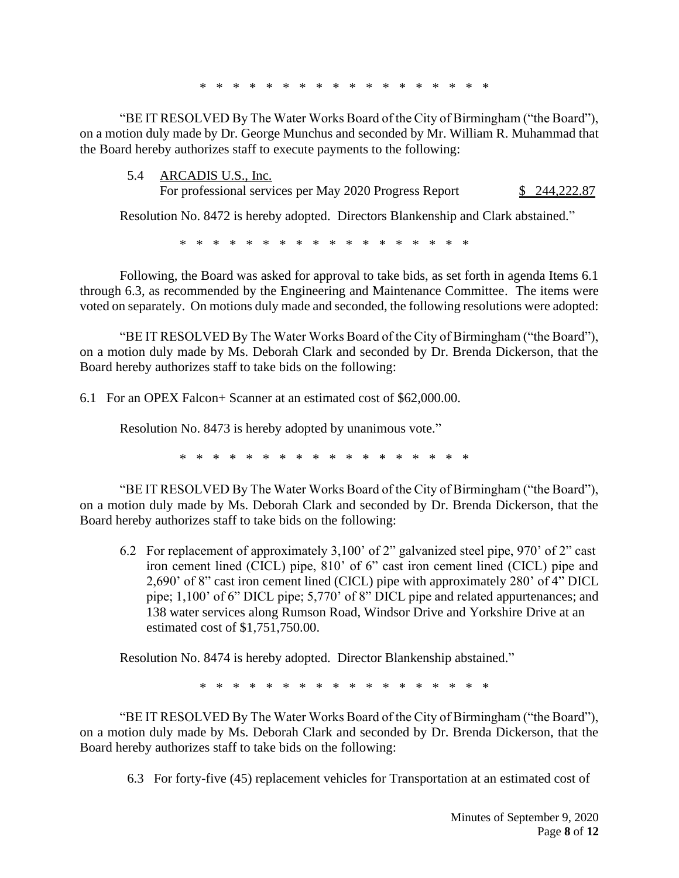\* \* \* \* \* \* \* \* \* \* \* \* \*

"BE IT RESOLVED By The Water Works Board of the City of Birmingham ("the Board"), on a motion duly made by Dr. George Munchus and seconded by Mr. William R. Muhammad that the Board hereby authorizes staff to execute payments to the following:

5.4 ARCADIS U.S., Inc.

For professional services per May 2020 Progress Report \$ 244,222.87

Resolution No. 8472 is hereby adopted. Directors Blankenship and Clark abstained."

\* \* \* \* \* \* \* \* \* \* \* \* \* \* \* \* \*

Following, the Board was asked for approval to take bids, as set forth in agenda Items 6.1 through 6.3, as recommended by the Engineering and Maintenance Committee. The items were voted on separately. On motions duly made and seconded, the following resolutions were adopted:

"BE IT RESOLVED By The Water Works Board of the City of Birmingham ("the Board"), on a motion duly made by Ms. Deborah Clark and seconded by Dr. Brenda Dickerson, that the Board hereby authorizes staff to take bids on the following:

6.1 For an OPEX Falcon+ Scanner at an estimated cost of \$62,000.00.

Resolution No. 8473 is hereby adopted by unanimous vote."

\* \* \* \* \* \* \* \* \* \* \* \* \* \* \* \* \* \*

"BE IT RESOLVED By The Water Works Board of the City of Birmingham ("the Board"), on a motion duly made by Ms. Deborah Clark and seconded by Dr. Brenda Dickerson, that the Board hereby authorizes staff to take bids on the following:

6.2 For replacement of approximately 3,100' of 2" galvanized steel pipe, 970' of 2" cast iron cement lined (CICL) pipe, 810' of 6" cast iron cement lined (CICL) pipe and 2,690' of 8" cast iron cement lined (CICL) pipe with approximately 280' of 4" DICL pipe; 1,100' of 6" DICL pipe; 5,770' of 8" DICL pipe and related appurtenances; and 138 water services along Rumson Road, Windsor Drive and Yorkshire Drive at an estimated cost of \$1,751,750.00.

Resolution No. 8474 is hereby adopted. Director Blankenship abstained."

\* \* \* \* \* \* \* \* \* \* \* \* \* \* \* \* \* \*

"BE IT RESOLVED By The Water Works Board of the City of Birmingham ("the Board"), on a motion duly made by Ms. Deborah Clark and seconded by Dr. Brenda Dickerson, that the Board hereby authorizes staff to take bids on the following:

6.3 For forty-five (45) replacement vehicles for Transportation at an estimated cost of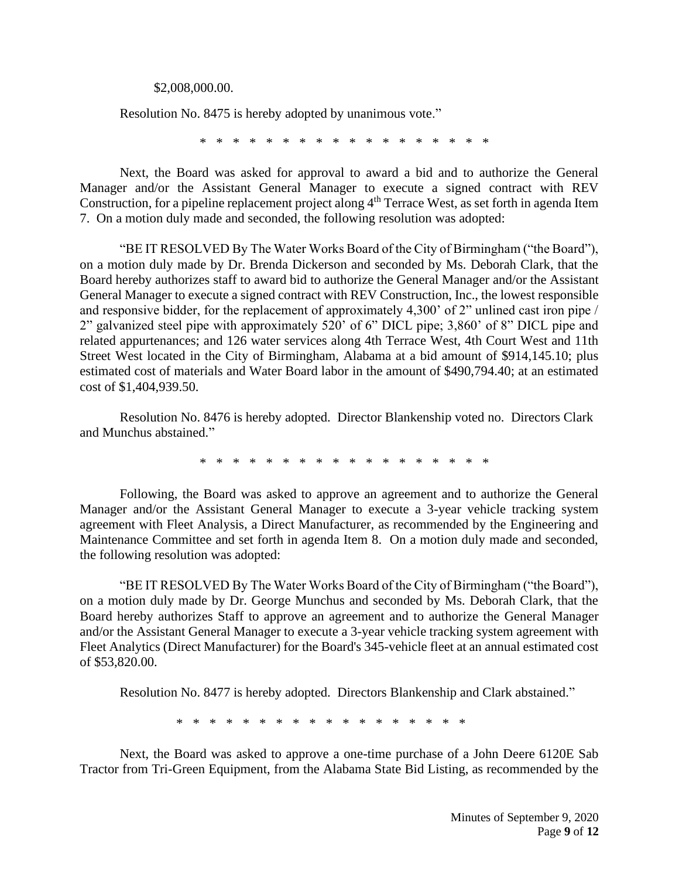\$2,008,000.00.

Resolution No. 8475 is hereby adopted by unanimous vote."

\* \* \* \* \* \* \* \* \* \* \* \* \* \* \* \* \*

Next, the Board was asked for approval to award a bid and to authorize the General Manager and/or the Assistant General Manager to execute a signed contract with REV Construction, for a pipeline replacement project along  $4<sup>th</sup>$  Terrace West, as set forth in agenda Item 7. On a motion duly made and seconded, the following resolution was adopted:

 "BE IT RESOLVED By The Water Works Board of the City of Birmingham ("the Board"), on a motion duly made by Dr. Brenda Dickerson and seconded by Ms. Deborah Clark, that the Board hereby authorizes staff to award bid to authorize the General Manager and/or the Assistant General Manager to execute a signed contract with REV Construction, Inc., the lowest responsible and responsive bidder, for the replacement of approximately 4,300' of 2" unlined cast iron pipe / 2" galvanized steel pipe with approximately 520' of 6" DICL pipe; 3,860' of 8" DICL pipe and related appurtenances; and 126 water services along 4th Terrace West, 4th Court West and 11th Street West located in the City of Birmingham, Alabama at a bid amount of \$914,145.10; plus estimated cost of materials and Water Board labor in the amount of \$490,794.40; at an estimated cost of \$1,404,939.50.

Resolution No. 8476 is hereby adopted. Director Blankenship voted no. Directors Clark and Munchus abstained."

\* \* \* \* \* \* \* \* \* \* \* \* \* \* \* \* \* \*

Following, the Board was asked to approve an agreement and to authorize the General Manager and/or the Assistant General Manager to execute a 3-year vehicle tracking system agreement with Fleet Analysis, a Direct Manufacturer, as recommended by the Engineering and Maintenance Committee and set forth in agenda Item 8. On a motion duly made and seconded, the following resolution was adopted:

"BE IT RESOLVED By The Water Works Board of the City of Birmingham ("the Board"), on a motion duly made by Dr. George Munchus and seconded by Ms. Deborah Clark, that the Board hereby authorizes Staff to approve an agreement and to authorize the General Manager and/or the Assistant General Manager to execute a 3-year vehicle tracking system agreement with Fleet Analytics (Direct Manufacturer) for the Board's 345-vehicle fleet at an annual estimated cost of \$53,820.00.

Resolution No. 8477 is hereby adopted. Directors Blankenship and Clark abstained."

\* \* \* \* \* \* \* \* \* \* \* \* \* \* \* \* \* \*

Next, the Board was asked to approve a one-time purchase of a John Deere 6120E Sab Tractor from Tri-Green Equipment, from the Alabama State Bid Listing, as recommended by the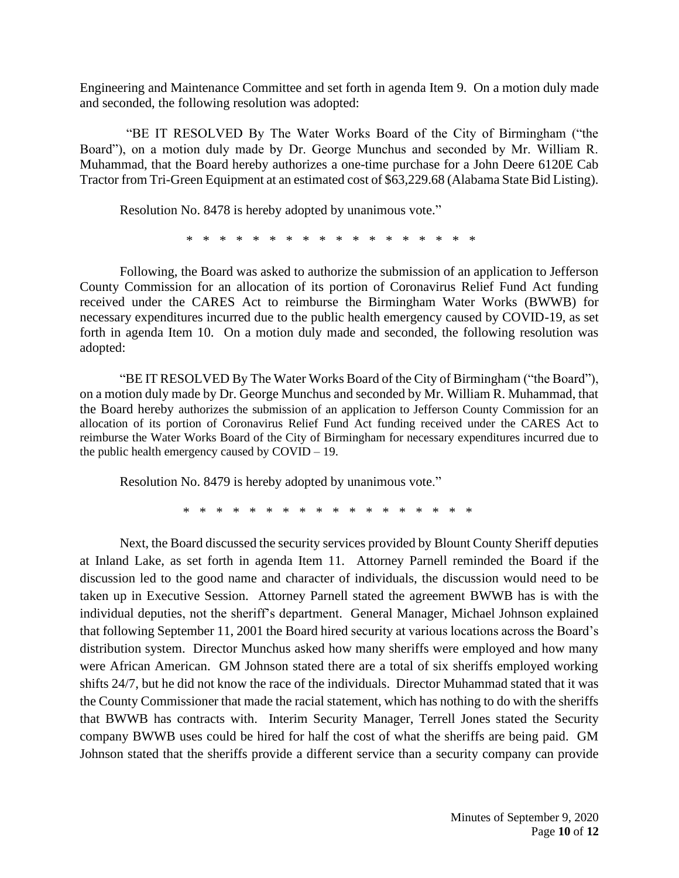Engineering and Maintenance Committee and set forth in agenda Item 9. On a motion duly made and seconded, the following resolution was adopted:

 "BE IT RESOLVED By The Water Works Board of the City of Birmingham ("the Board"), on a motion duly made by Dr. George Munchus and seconded by Mr. William R. Muhammad, that the Board hereby authorizes a one-time purchase for a John Deere 6120E Cab Tractor from Tri-Green Equipment at an estimated cost of \$63,229.68 (Alabama State Bid Listing).

Resolution No. 8478 is hereby adopted by unanimous vote."

\* \* \* \* \* \* \* \* \* \* \* \* \* \* \* \* \* \*

Following, the Board was asked to authorize the submission of an application to Jefferson County Commission for an allocation of its portion of Coronavirus Relief Fund Act funding received under the CARES Act to reimburse the Birmingham Water Works (BWWB) for necessary expenditures incurred due to the public health emergency caused by COVID-19, as set forth in agenda Item 10. On a motion duly made and seconded, the following resolution was adopted:

"BE IT RESOLVED By The Water Works Board of the City of Birmingham ("the Board"), on a motion duly made by Dr. George Munchus and seconded by Mr. William R. Muhammad, that the Board hereby authorizes the submission of an application to Jefferson County Commission for an allocation of its portion of Coronavirus Relief Fund Act funding received under the CARES Act to reimburse the Water Works Board of the City of Birmingham for necessary expenditures incurred due to the public health emergency caused by  $\text{COVID} - 19$ .

Resolution No. 8479 is hereby adopted by unanimous vote."

\* \* \* \* \* \* \* \* \* \* \* \* \* \* \* \*

Next, the Board discussed the security services provided by Blount County Sheriff deputies at Inland Lake, as set forth in agenda Item 11. Attorney Parnell reminded the Board if the discussion led to the good name and character of individuals, the discussion would need to be taken up in Executive Session. Attorney Parnell stated the agreement BWWB has is with the individual deputies, not the sheriff's department. General Manager, Michael Johnson explained that following September 11, 2001 the Board hired security at various locations across the Board's distribution system. Director Munchus asked how many sheriffs were employed and how many were African American. GM Johnson stated there are a total of six sheriffs employed working shifts 24/7, but he did not know the race of the individuals. Director Muhammad stated that it was the County Commissioner that made the racial statement, which has nothing to do with the sheriffs that BWWB has contracts with. Interim Security Manager, Terrell Jones stated the Security company BWWB uses could be hired for half the cost of what the sheriffs are being paid. GM Johnson stated that the sheriffs provide a different service than a security company can provide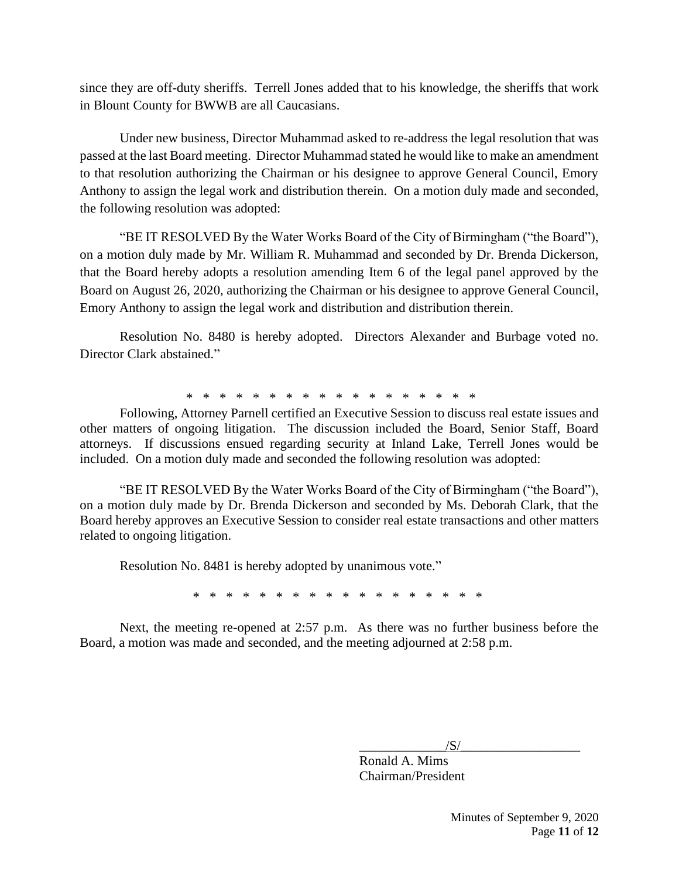since they are off-duty sheriffs. Terrell Jones added that to his knowledge, the sheriffs that work in Blount County for BWWB are all Caucasians.

Under new business, Director Muhammad asked to re-address the legal resolution that was passed at the last Board meeting. Director Muhammad stated he would like to make an amendment to that resolution authorizing the Chairman or his designee to approve General Council, Emory Anthony to assign the legal work and distribution therein. On a motion duly made and seconded, the following resolution was adopted:

"BE IT RESOLVED By the Water Works Board of the City of Birmingham ("the Board"), on a motion duly made by Mr. William R. Muhammad and seconded by Dr. Brenda Dickerson, that the Board hereby adopts a resolution amending Item 6 of the legal panel approved by the Board on August 26, 2020, authorizing the Chairman or his designee to approve General Council, Emory Anthony to assign the legal work and distribution and distribution therein.

Resolution No. 8480 is hereby adopted. Directors Alexander and Burbage voted no. Director Clark abstained."

\* \* \* \* \* \* \* \* \* \* \* \* \* \* \* \* \* \*

Following, Attorney Parnell certified an Executive Session to discuss real estate issues and other matters of ongoing litigation. The discussion included the Board, Senior Staff, Board attorneys. If discussions ensued regarding security at Inland Lake, Terrell Jones would be included. On a motion duly made and seconded the following resolution was adopted:

"BE IT RESOLVED By the Water Works Board of the City of Birmingham ("the Board"), on a motion duly made by Dr. Brenda Dickerson and seconded by Ms. Deborah Clark, that the Board hereby approves an Executive Session to consider real estate transactions and other matters related to ongoing litigation.

Resolution No. 8481 is hereby adopted by unanimous vote."

\* \* \* \* \* \* \* \* \* \* \* \* \* \* \* \* \* \*

Next, the meeting re-opened at 2:57 p.m. As there was no further business before the Board, a motion was made and seconded, and the meeting adjourned at 2:58 p.m.

 $/S/$ 

Ronald A. Mims Chairman/President

> Minutes of September 9, 2020 Page **11** of **12**